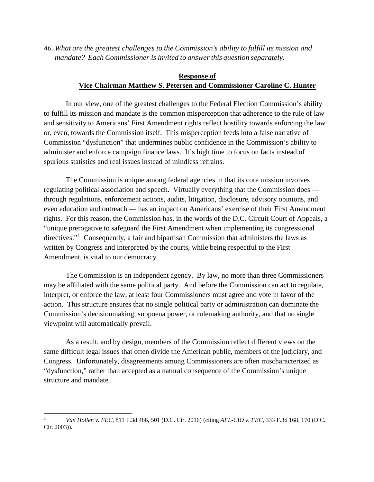*46. What are the greatest challenges to the Commission's ability to fulfill its mission and mandate? Each Commissioner is invited to answerthis question separately.*

## **Response of Vice Chairman Matthew S. Petersen and Commissioner Caroline C. Hunter**

In our view, one of the greatest challenges to the Federal Election Commission's ability to fulfill its mission and mandate is the common misperception that adherence to the rule of law and sensitivity to Americans' First Amendment rights reflect hostility towards enforcing the law or, even, towards the Commission itself. This misperception feeds into a false narrative of Commission "dysfunction" that undermines public confidence in the Commission's ability to administer and enforce campaign finance laws. It's high time to focus on facts instead of spurious statistics and real issues instead of mindless refrains.

The Commission is unique among federal agencies in that its core mission involves regulating political association and speech. Virtually everything that the Commission does through regulations, enforcement actions, audits, litigation, disclosure, advisory opinions, and even education and outreach — has an impact on Americans' exercise of their First Amendment rights. For this reason, the Commission has, in the words of the D.C. Circuit Court of Appeals, a "unique prerogative to safeguard the First Amendment when implementing its congressional directives."<sup>[1](#page-0-0)</sup> Consequently, a fair and bipartisan Commission that administers the laws as written by Congress and interpreted by the courts, while being respectful to the First Amendment, is vital to our democracy.

The Commission is an independent agency. By law, no more than three Commissioners may be affiliated with the same political party. And before the Commission can act to regulate, interpret, or enforce the law, at least four Commissioners must agree and vote in favor of the action. This structure ensures that no single political party or administration can dominate the Commission's decisionmaking, subpoena power, or rulemaking authority, and that no single viewpoint will automatically prevail.

As a result, and by design, members of the Commission reflect different views on the same difficult legal issues that often divide the American public, members of the judiciary, and Congress. Unfortunately, disagreements among Commissioners are often mischaracterized as "dysfunction," rather than accepted as a natural consequence of the Commission's unique structure and mandate.

<span id="page-0-0"></span> <sup>1</sup> *Van Hollen v. FEC*, 811 F.3d 486, 501 (D.C. Cir. 2016) (citing *AFL-CIO v. FEC*, 333 F.3d 168, 170 (D.C. Cir. 2003)).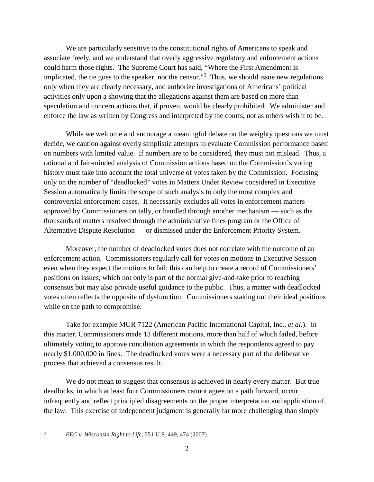We are particularly sensitive to the constitutional rights of Americans to speak and associate freely, and we understand that overly aggressive regulatory and enforcement actions could harm those rights. The Supreme Court has said, "Where the First Amendment is implicated, the tie goes to the speaker, not the censor."<sup>[2](#page-1-0)</sup> Thus, we should issue new regulations only when they are clearly necessary, and authorize investigations of Americans' political activities only upon a showing that the allegations against them are based on more than speculation and concern actions that, if proven, would be clearly prohibited. We administer and enforce the law as written by Congress and interpreted by the courts, not as others wish it to be.

While we welcome and encourage a meaningful debate on the weighty questions we must decide, we caution against overly simplistic attempts to evaluate Commission performance based on numbers with limited value. If numbers are to be considered, they must not mislead. Thus, a rational and fair-minded analysis of Commission actions based on the Commission's voting history must take into account the total universe of votes taken by the Commission. Focusing only on the number of "deadlocked" votes in Matters Under Review considered in Executive Session automatically limits the scope of such analysis to only the most complex and controversial enforcement cases. It necessarily excludes all votes in enforcement matters approved by Commissioners on tally, or handled through another mechanism — such as the thousands of matters resolved through the administrative fines program or the Office of Alternative Dispute Resolution — or dismissed under the Enforcement Priority System.

Moreover, the number of deadlocked votes does not correlate with the outcome of an enforcement action. Commissioners regularly call for votes on motions in Executive Session even when they expect the motions to fail; this can help to create a record of Commissioners' positions on issues, which not only is part of the normal give-and-take prior to reaching consensus but may also provide useful guidance to the public. Thus, a matter with deadlocked votes often reflects the opposite of dysfunction: Commissioners staking out their ideal positions while on the path to compromise.

Take for example MUR 7122 (American Pacific International Capital, Inc., *et al*.). In this matter, Commissioners made 13 different motions, more than half of which failed, before ultimately voting to approve conciliation agreements in which the respondents agreed to pay nearly \$1,000,000 in fines. The deadlocked votes were a necessary part of the deliberative process that achieved a consensus result.

We do not mean to suggest that consensus is achieved in nearly every matter. But true deadlocks, in which at least four Commissioners cannot agree on a path forward, occur infrequently and reflect principled disagreements on the proper interpretation and application of the law. This exercise of independent judgment is generally far more challenging than simply

<span id="page-1-0"></span> <sup>2</sup> *FEC v. Wisconsin Right to Life*, 551 U.S. 449, 474 (2007).